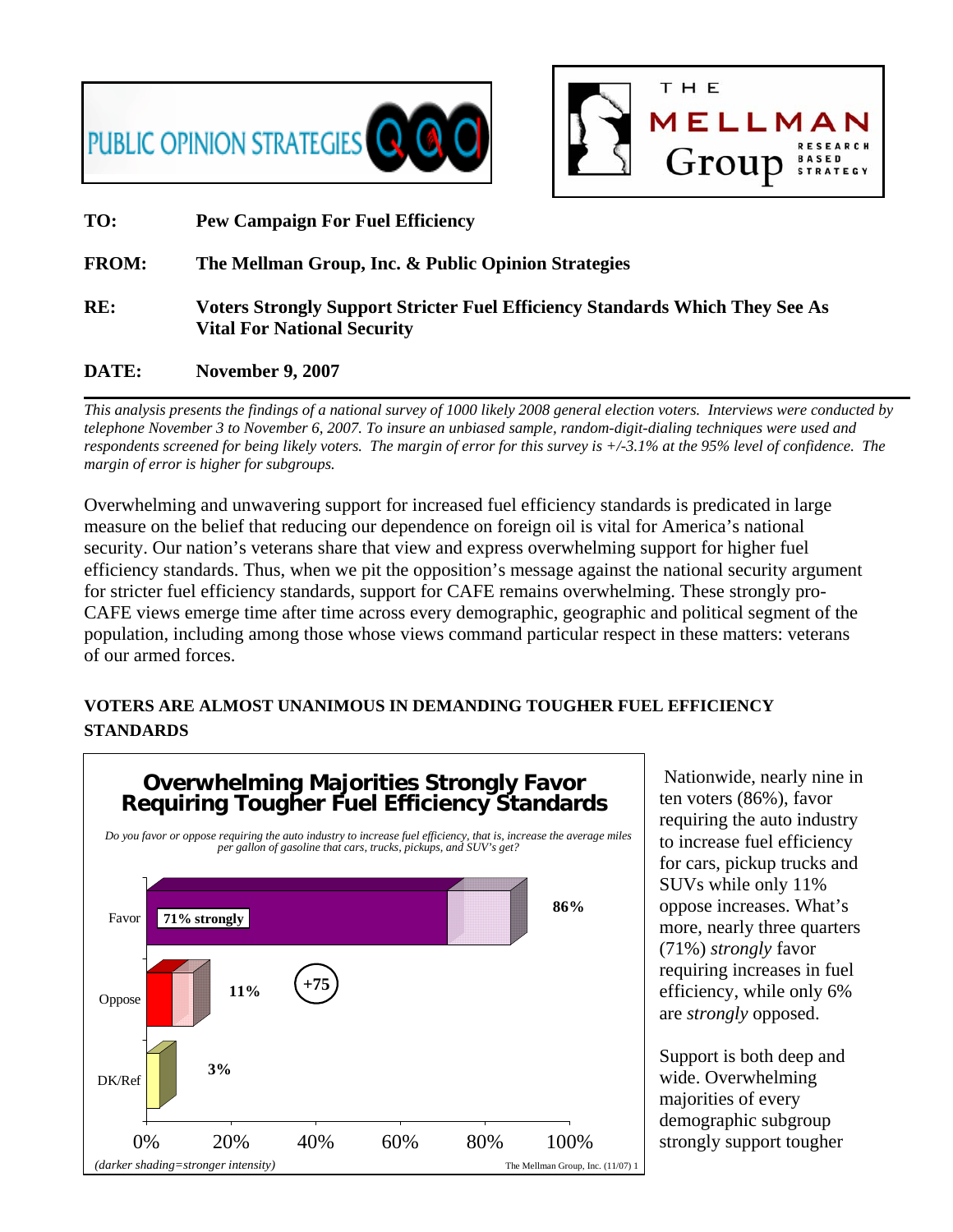



### **TO: Pew Campaign For Fuel Efficiency**

#### **FROM: The Mellman Group, Inc. & Public Opinion Strategies**

**RE: Voters Strongly Support Stricter Fuel Efficiency Standards Which They See As Vital For National Security** 

#### **DATE: November 9, 2007**

*This analysis presents the findings of a national survey of 1000 likely 2008 general election voters. Interviews were conducted by telephone November 3 to November 6, 2007. To insure an unbiased sample, random-digit-dialing techniques were used and respondents screened for being likely voters. The margin of error for this survey is +/-3.1% at the 95% level of confidence. The margin of error is higher for subgroups.* 

Overwhelming and unwavering support for increased fuel efficiency standards is predicated in large measure on the belief that reducing our dependence on foreign oil is vital for America's national security. Our nation's veterans share that view and express overwhelming support for higher fuel efficiency standards. Thus, when we pit the opposition's message against the national security argument for stricter fuel efficiency standards, support for CAFE remains overwhelming. These strongly pro-CAFE views emerge time after time across every demographic, geographic and political segment of the population, including among those whose views command particular respect in these matters: veterans of our armed forces.

# **VOTERS ARE ALMOST UNANIMOUS IN DEMANDING TOUGHER FUEL EFFICIENCY STANDARDS**



 Nationwide, nearly nine in ten voters (86%), favor requiring the auto industry to increase fuel efficiency for cars, pickup trucks and SUVs while only 11% oppose increases. What's more, nearly three quarters (71%) *strongly* favor requiring increases in fuel efficiency, while only 6% are *strongly* opposed.

Support is both deep and wide. Overwhelming majorities of every demographic subgroup strongly support tougher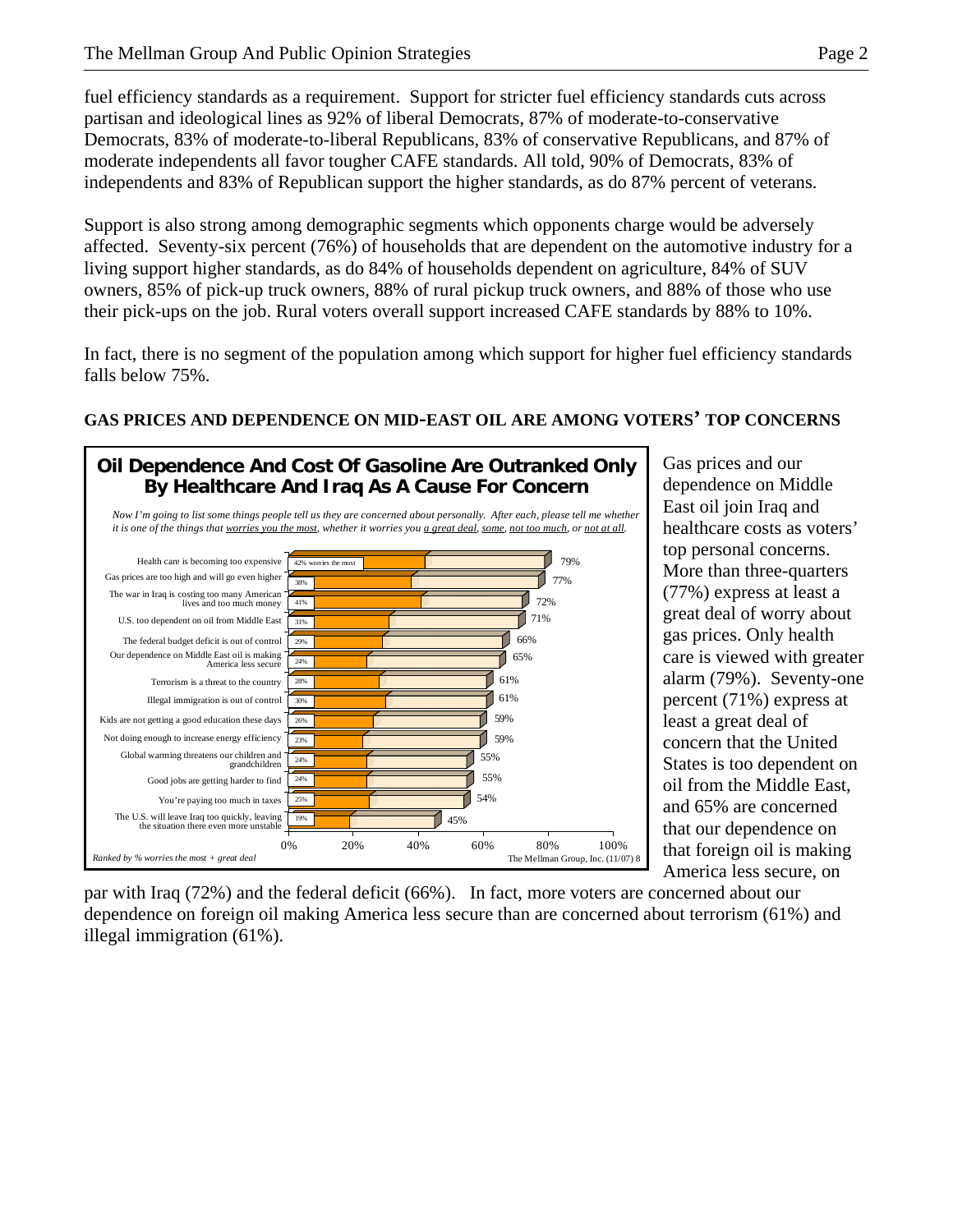fuel efficiency standards as a requirement. Support for stricter fuel efficiency standards cuts across partisan and ideological lines as 92% of liberal Democrats, 87% of moderate-to-conservative Democrats, 83% of moderate-to-liberal Republicans, 83% of conservative Republicans, and 87% of moderate independents all favor tougher CAFE standards. All told, 90% of Democrats, 83% of independents and 83% of Republican support the higher standards, as do 87% percent of veterans.

Support is also strong among demographic segments which opponents charge would be adversely affected. Seventy-six percent (76%) of households that are dependent on the automotive industry for a living support higher standards, as do 84% of households dependent on agriculture, 84% of SUV owners, 85% of pick-up truck owners, 88% of rural pickup truck owners, and 88% of those who use their pick-ups on the job. Rural voters overall support increased CAFE standards by 88% to 10%.

In fact, there is no segment of the population among which support for higher fuel efficiency standards falls below 75%.

# **GAS PRICES AND DEPENDENCE ON MID-EAST OIL ARE AMONG VOTERS' TOP CONCERNS**



Gas prices and our dependence on Middle East oil join Iraq and healthcare costs as voters' top personal concerns. More than three-quarters (77%) express at least a great deal of worry about gas prices. Only health care is viewed with greater alarm (79%). Seventy-one percent (71%) express at least a great deal of concern that the United States is too dependent on oil from the Middle East, and 65% are concerned that our dependence on that foreign oil is making America less secure, on

par with Iraq (72%) and the federal deficit (66%). In fact, more voters are concerned about our dependence on foreign oil making America less secure than are concerned about terrorism (61%) and illegal immigration (61%).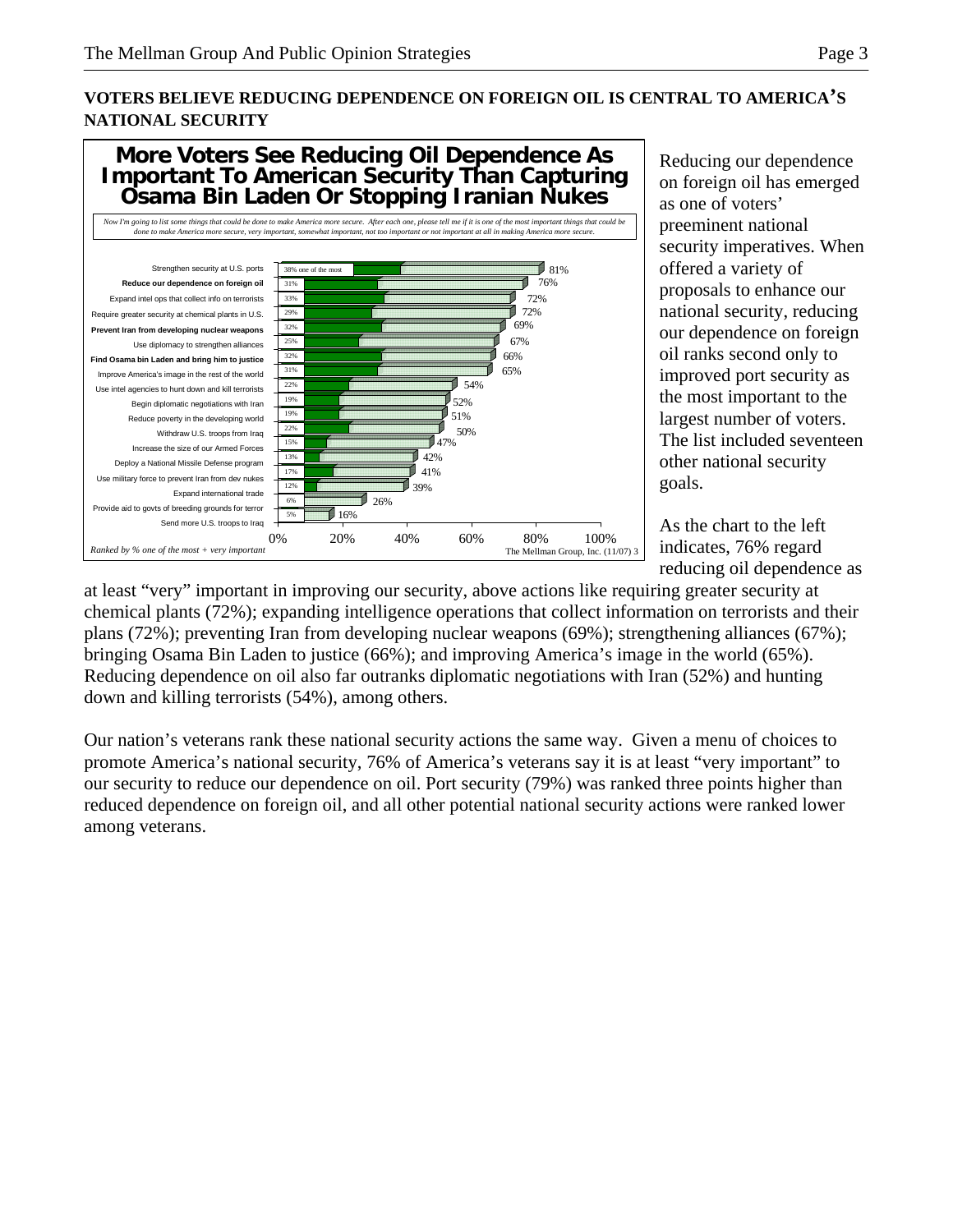# **VOTERS BELIEVE REDUCING DEPENDENCE ON FOREIGN OIL IS CENTRAL TO AMERICA'S NATIONAL SECURITY**



Reducing our dependence on foreign oil has emerged as one of voters' preeminent national security imperatives. When offered a variety of proposals to enhance our national security, reducing our dependence on foreign oil ranks second only to improved port security as the most important to the largest number of voters. The list included seventeen other national security goals.

As the chart to the left indicates, 76% regard reducing oil dependence as

at least "very" important in improving our security, above actions like requiring greater security at chemical plants (72%); expanding intelligence operations that collect information on terrorists and their plans (72%); preventing Iran from developing nuclear weapons (69%); strengthening alliances (67%); bringing Osama Bin Laden to justice (66%); and improving America's image in the world (65%). Reducing dependence on oil also far outranks diplomatic negotiations with Iran (52%) and hunting down and killing terrorists (54%), among others.

Our nation's veterans rank these national security actions the same way. Given a menu of choices to promote America's national security, 76% of America's veterans say it is at least "very important" to our security to reduce our dependence on oil. Port security (79%) was ranked three points higher than reduced dependence on foreign oil, and all other potential national security actions were ranked lower among veterans.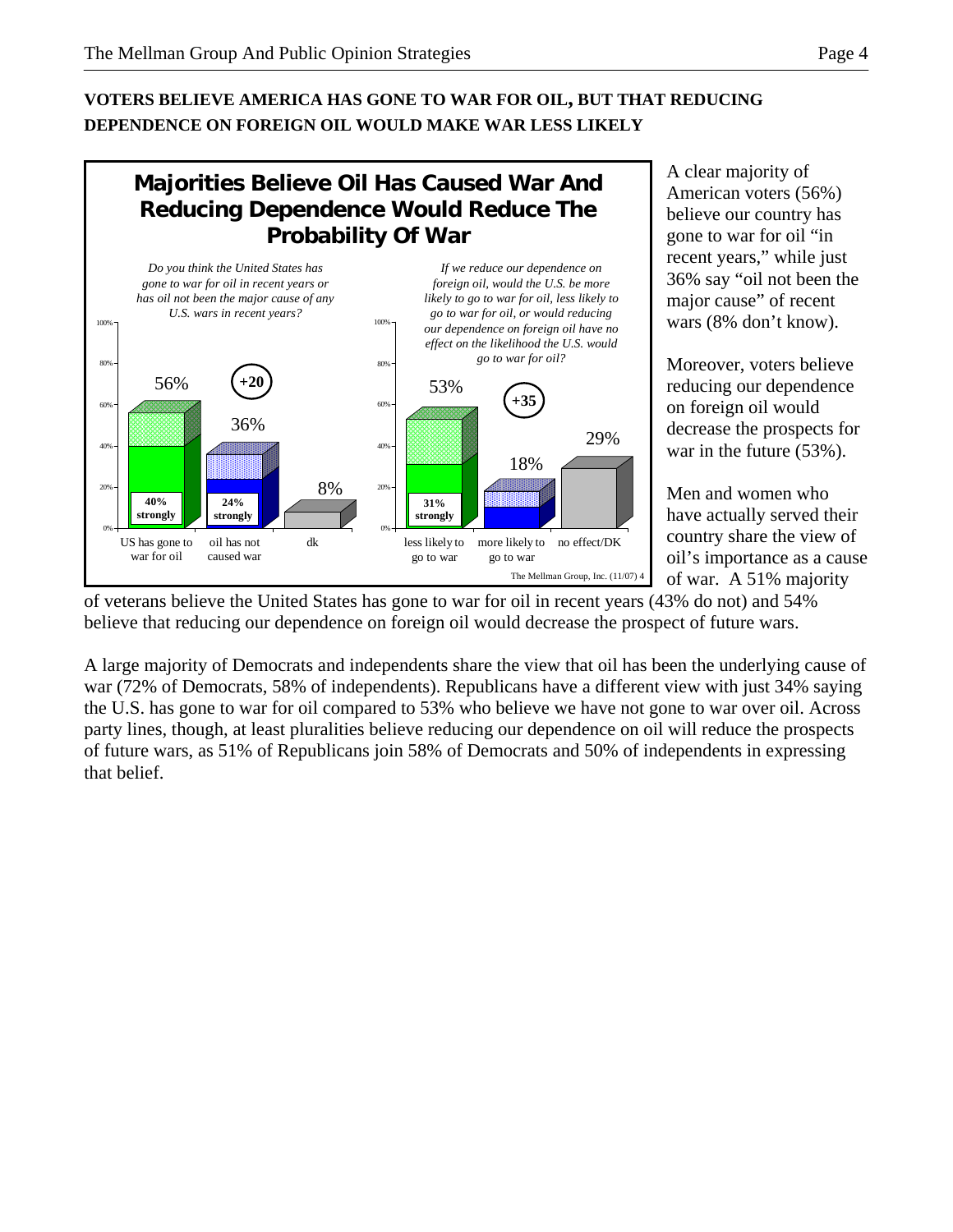# **VOTERS BELIEVE AMERICA HAS GONE TO WAR FOR OIL, BUT THAT REDUCING DEPENDENCE ON FOREIGN OIL WOULD MAKE WAR LESS LIKELY**



A clear majority of American voters (56%) believe our country has gone to war for oil "in recent years," while just 36% say "oil not been the major cause" of recent wars (8% don't know).

Moreover, voters believe reducing our dependence on foreign oil would decrease the prospects for war in the future (53%).

Men and women who have actually served their country share the view of oil's importance as a cause of war. A 51% majority

of veterans believe the United States has gone to war for oil in recent years (43% do not) and 54% believe that reducing our dependence on foreign oil would decrease the prospect of future wars.

A large majority of Democrats and independents share the view that oil has been the underlying cause of war (72% of Democrats, 58% of independents). Republicans have a different view with just 34% saying the U.S. has gone to war for oil compared to 53% who believe we have not gone to war over oil. Across party lines, though, at least pluralities believe reducing our dependence on oil will reduce the prospects of future wars, as 51% of Republicans join 58% of Democrats and 50% of independents in expressing that belief.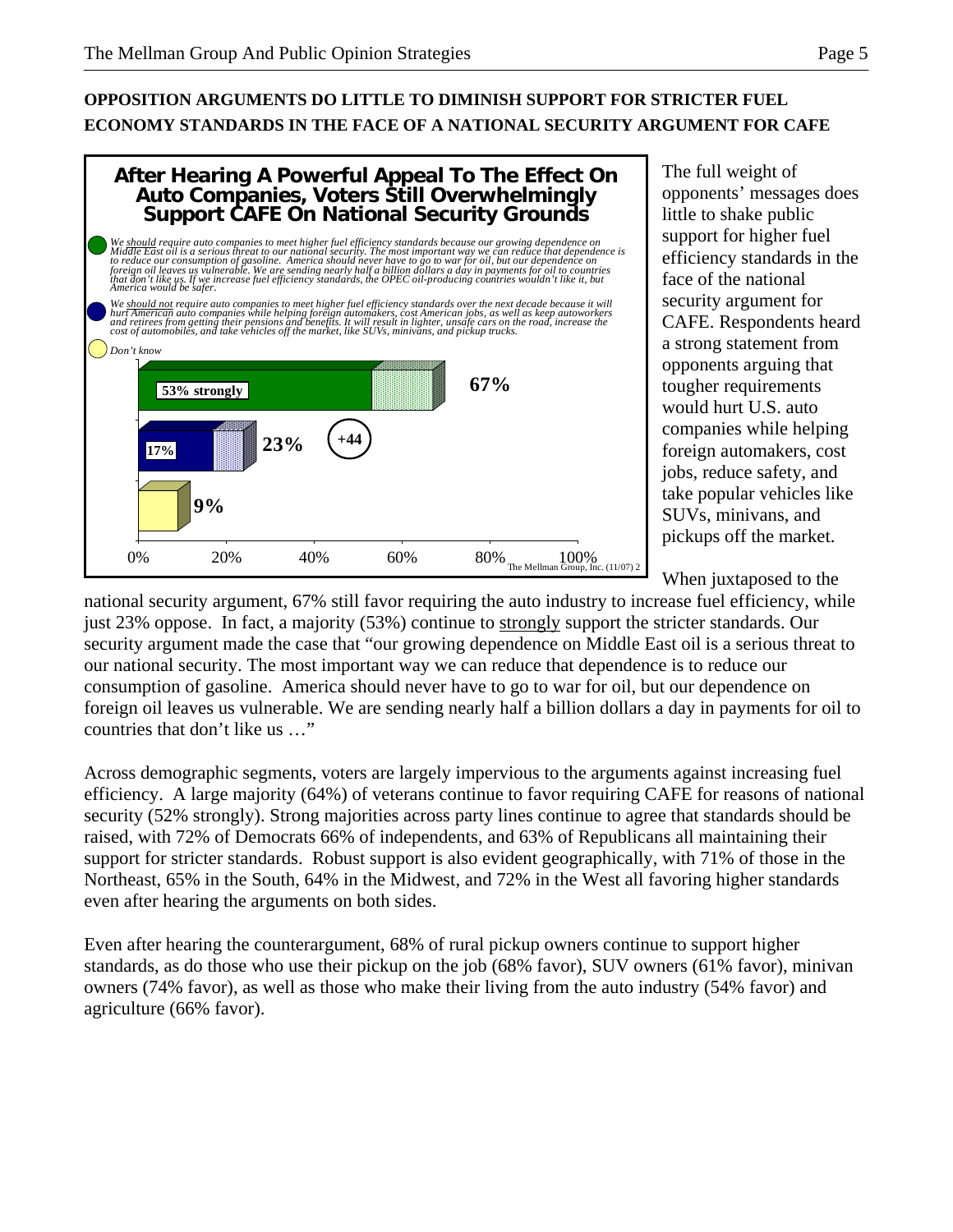# **OPPOSITION ARGUMENTS DO LITTLE TO DIMINISH SUPPORT FOR STRICTER FUEL ECONOMY STANDARDS IN THE FACE OF A NATIONAL SECURITY ARGUMENT FOR CAFE**



The full weight of opponents' messages does little to shake public support for higher fuel efficiency standards in the face of the national security argument for CAFE. Respondents heard a strong statement from opponents arguing that tougher requirements would hurt U.S. auto companies while helping foreign automakers, cost jobs, reduce safety, and take popular vehicles like SUVs, minivans, and pickups off the market.

When juxtaposed to the

national security argument, 67% still favor requiring the auto industry to increase fuel efficiency, while just 23% oppose. In fact, a majority (53%) continue to strongly support the stricter standards. Our security argument made the case that "our growing dependence on Middle East oil is a serious threat to our national security. The most important way we can reduce that dependence is to reduce our consumption of gasoline. America should never have to go to war for oil, but our dependence on foreign oil leaves us vulnerable. We are sending nearly half a billion dollars a day in payments for oil to countries that don't like us …"

Across demographic segments, voters are largely impervious to the arguments against increasing fuel efficiency. A large majority (64%) of veterans continue to favor requiring CAFE for reasons of national security (52% strongly). Strong majorities across party lines continue to agree that standards should be raised, with 72% of Democrats 66% of independents, and 63% of Republicans all maintaining their support for stricter standards. Robust support is also evident geographically, with 71% of those in the Northeast, 65% in the South, 64% in the Midwest, and 72% in the West all favoring higher standards even after hearing the arguments on both sides.

Even after hearing the counterargument, 68% of rural pickup owners continue to support higher standards, as do those who use their pickup on the job (68% favor), SUV owners (61% favor), minivan owners (74% favor), as well as those who make their living from the auto industry (54% favor) and agriculture (66% favor).